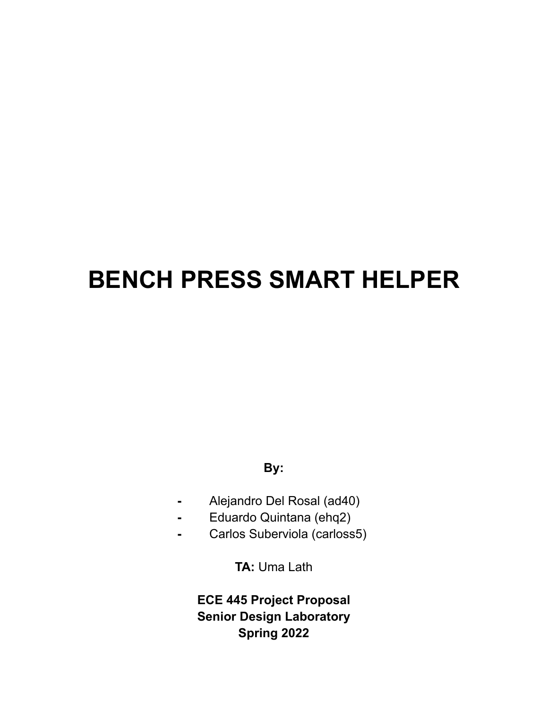# **BENCH PRESS SMART HELPER**

## **By:**

- **-** Alejandro Del Rosal (ad40)
- **-** Eduardo Quintana (ehq2)
- **-** Carlos Suberviola (carloss5)

**TA:** Uma Lath

**ECE 445 Project Proposal Senior Design Laboratory Spring 2022**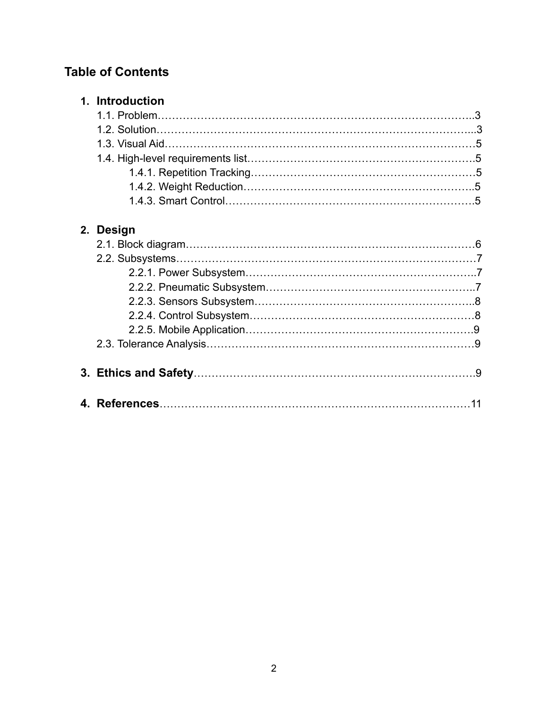# **Table of Contents**

| 1. Introduction |  |
|-----------------|--|
|                 |  |
|                 |  |
|                 |  |
|                 |  |
|                 |  |
|                 |  |
|                 |  |

## **2. Design**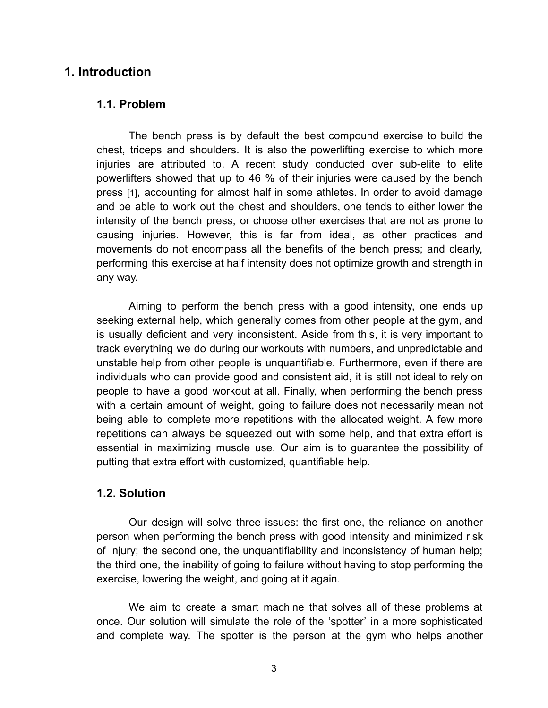## **1. Introduction**

#### **1.1. Problem**

The bench press is by default the best compound exercise to build the chest, triceps and shoulders. It is also the powerlifting exercise to which more injuries are attributed to. A recent study conducted over sub-elite to elite powerlifters showed that up to 46 % of their injuries were caused by the bench press [1], accounting for almost half in some athletes. In order to avoid damage and be able to work out the chest and shoulders, one tends to either lower the intensity of the bench press, or choose other exercises that are not as prone to causing injuries. However, this is far from ideal, as other practices and movements do not encompass all the benefits of the bench press; and clearly, performing this exercise at half intensity does not optimize growth and strength in any way.

Aiming to perform the bench press with a good intensity, one ends up seeking external help, which generally comes from other people at the gym, and is usually deficient and very inconsistent. Aside from this, it is very important to track everything we do during our workouts with numbers, and unpredictable and unstable help from other people is unquantifiable. Furthermore, even if there are individuals who can provide good and consistent aid, it is still not ideal to rely on people to have a good workout at all. Finally, when performing the bench press with a certain amount of weight, going to failure does not necessarily mean not being able to complete more repetitions with the allocated weight. A few more repetitions can always be squeezed out with some help, and that extra effort is essential in maximizing muscle use. Our aim is to guarantee the possibility of putting that extra effort with customized, quantifiable help.

#### **1.2. Solution**

Our design will solve three issues: the first one, the reliance on another person when performing the bench press with good intensity and minimized risk of injury; the second one, the unquantifiability and inconsistency of human help; the third one, the inability of going to failure without having to stop performing the exercise, lowering the weight, and going at it again.

We aim to create a smart machine that solves all of these problems at once. Our solution will simulate the role of the 'spotter' in a more sophisticated and complete way. The spotter is the person at the gym who helps another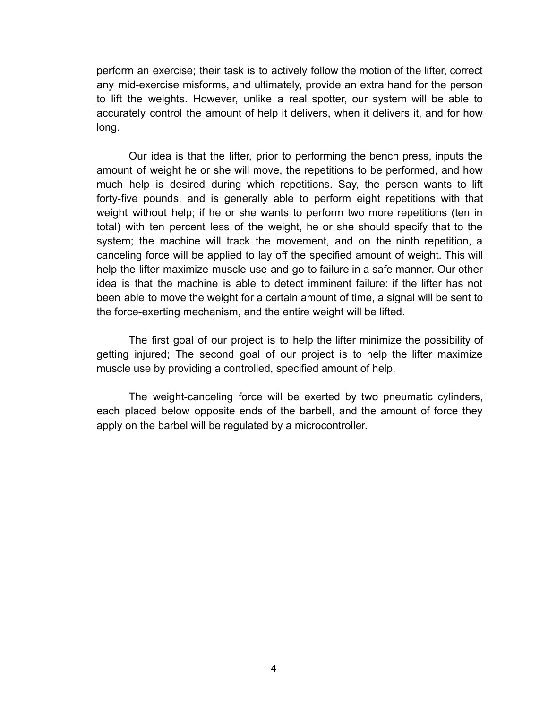perform an exercise; their task is to actively follow the motion of the lifter, correct any mid-exercise misforms, and ultimately, provide an extra hand for the person to lift the weights. However, unlike a real spotter, our system will be able to accurately control the amount of help it delivers, when it delivers it, and for how long.

Our idea is that the lifter, prior to performing the bench press, inputs the amount of weight he or she will move, the repetitions to be performed, and how much help is desired during which repetitions. Say, the person wants to lift forty-five pounds, and is generally able to perform eight repetitions with that weight without help; if he or she wants to perform two more repetitions (ten in total) with ten percent less of the weight, he or she should specify that to the system; the machine will track the movement, and on the ninth repetition, a canceling force will be applied to lay off the specified amount of weight. This will help the lifter maximize muscle use and go to failure in a safe manner. Our other idea is that the machine is able to detect imminent failure: if the lifter has not been able to move the weight for a certain amount of time, a signal will be sent to the force-exerting mechanism, and the entire weight will be lifted.

The first goal of our project is to help the lifter minimize the possibility of getting injured; The second goal of our project is to help the lifter maximize muscle use by providing a controlled, specified amount of help.

The weight-canceling force will be exerted by two pneumatic cylinders, each placed below opposite ends of the barbell, and the amount of force they apply on the barbel will be regulated by a microcontroller.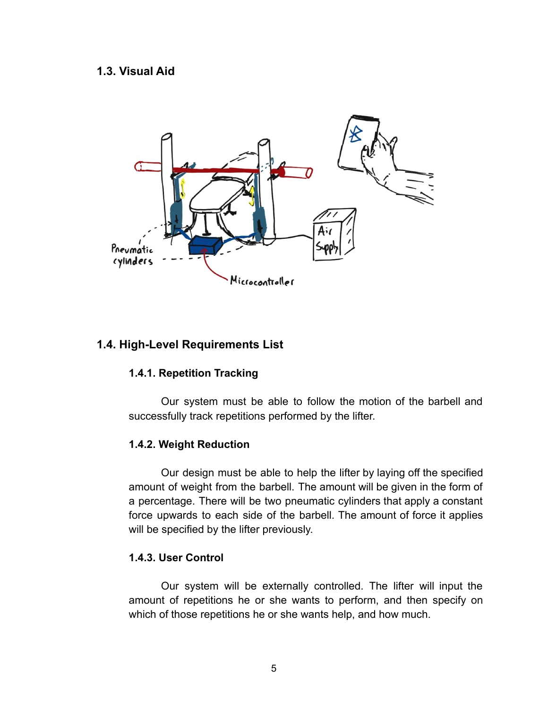#### **1.3. Visual Aid**



## **1.4. High-Level Requirements List**

## **1.4.1. Repetition Tracking**

Our system must be able to follow the motion of the barbell and successfully track repetitions performed by the lifter.

#### **1.4.2. Weight Reduction**

Our design must be able to help the lifter by laying off the specified amount of weight from the barbell. The amount will be given in the form of a percentage. There will be two pneumatic cylinders that apply a constant force upwards to each side of the barbell. The amount of force it applies will be specified by the lifter previously.

#### **1.4.3. User Control**

Our system will be externally controlled. The lifter will input the amount of repetitions he or she wants to perform, and then specify on which of those repetitions he or she wants help, and how much.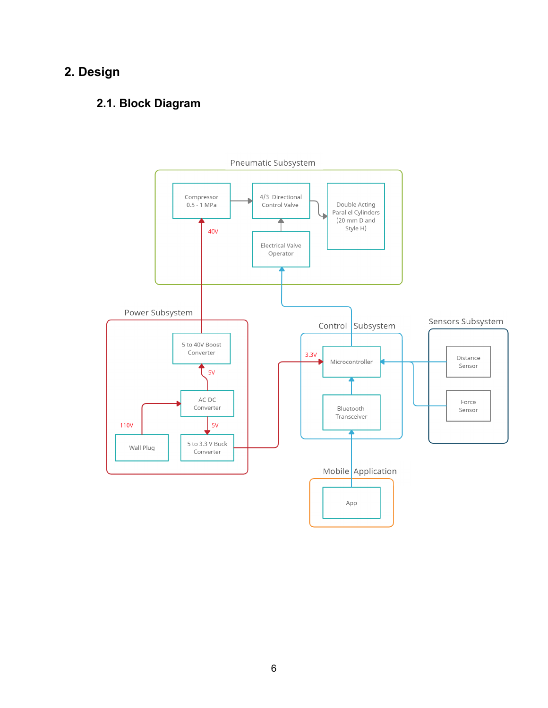# **2. Design**

## **2.1. Block Diagram**

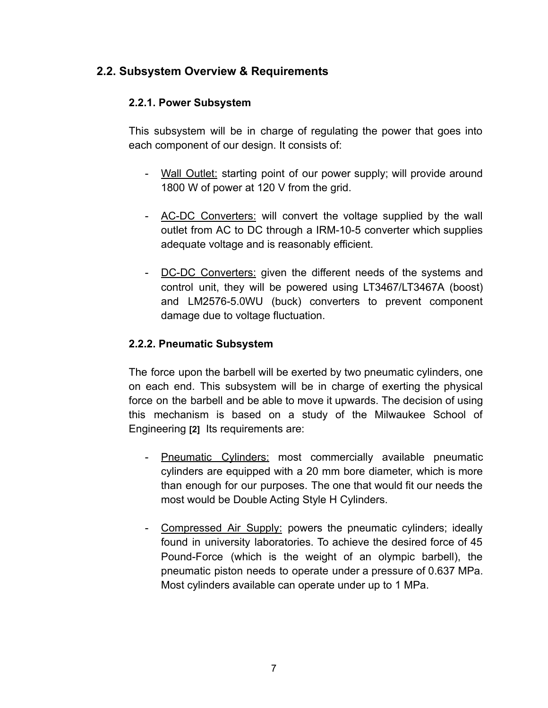## **2.2. Subsystem Overview & Requirements**

## **2.2.1. Power Subsystem**

This subsystem will be in charge of regulating the power that goes into each component of our design. It consists of:

- Wall Outlet: starting point of our power supply; will provide around 1800 W of power at 120 V from the grid.
- AC-DC Converters: will convert the voltage supplied by the wall outlet from AC to DC through a IRM-10-5 converter which supplies adequate voltage and is reasonably efficient.
- DC-DC Converters: given the different needs of the systems and control unit, they will be powered using LT3467/LT3467A (boost) and LM2576-5.0WU (buck) converters to prevent component damage due to voltage fluctuation.

## **2.2.2. Pneumatic Subsystem**

The force upon the barbell will be exerted by two pneumatic cylinders, one on each end. This subsystem will be in charge of exerting the physical force on the barbell and be able to move it upwards. The decision of using this mechanism is based on a study of the Milwaukee School of Engineering **[2]** Its requirements are:

- Pneumatic Cylinders: most commercially available pneumatic cylinders are equipped with a 20 mm bore diameter, which is more than enough for our purposes. The one that would fit our needs the most would be Double Acting Style H Cylinders.
- Compressed Air Supply: powers the pneumatic cylinders; ideally found in university laboratories. To achieve the desired force of 45 Pound-Force (which is the weight of an olympic barbell), the pneumatic piston needs to operate under a pressure of 0.637 MPa. Most cylinders available can operate under up to 1 MPa.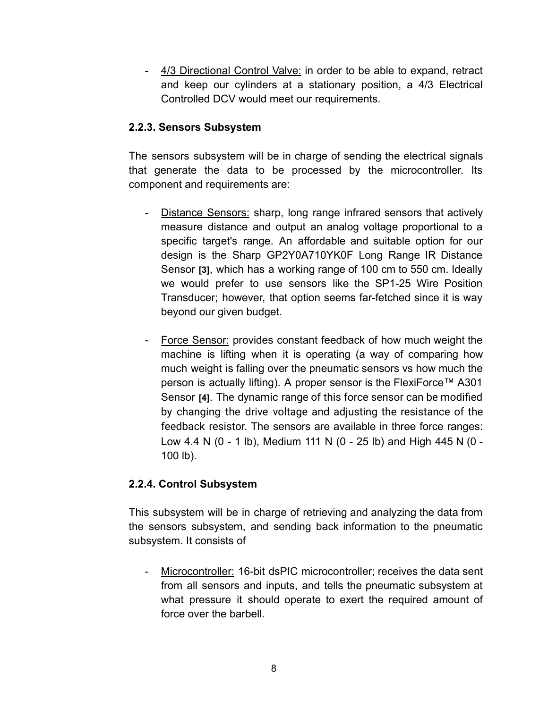- 4/3 Directional Control Valve: in order to be able to expand, retract and keep our cylinders at a stationary position, a 4/3 Electrical Controlled DCV would meet our requirements.

### **2.2.3. Sensors Subsystem**

The sensors subsystem will be in charge of sending the electrical signals that generate the data to be processed by the microcontroller. Its component and requirements are:

- Distance Sensors: sharp, long range infrared sensors that actively measure distance and output an analog voltage proportional to a specific target's range. An affordable and suitable option for our design is the Sharp GP2Y0A710YK0F Long Range IR Distance Sensor **[3]**, which has a working range of 100 cm to 550 cm. Ideally we would prefer to use sensors like the SP1-25 Wire Position Transducer; however, that option seems far-fetched since it is way beyond our given budget.
- Force Sensor: provides constant feedback of how much weight the machine is lifting when it is operating (a way of comparing how much weight is falling over the pneumatic sensors vs how much the person is actually lifting). A proper sensor is the FlexiForce™ A301 Sensor **[4]**. The dynamic range of this force sensor can be modified by changing the drive voltage and adjusting the resistance of the feedback resistor. The sensors are available in three force ranges: Low 4.4 N (0 - 1 lb), Medium 111 N (0 - 25 lb) and High 445 N (0 - 100 lb).

## **2.2.4. Control Subsystem**

This subsystem will be in charge of retrieving and analyzing the data from the sensors subsystem, and sending back information to the pneumatic subsystem. It consists of

- Microcontroller: 16-bit dsPIC microcontroller; receives the data sent from all sensors and inputs, and tells the pneumatic subsystem at what pressure it should operate to exert the required amount of force over the barbell.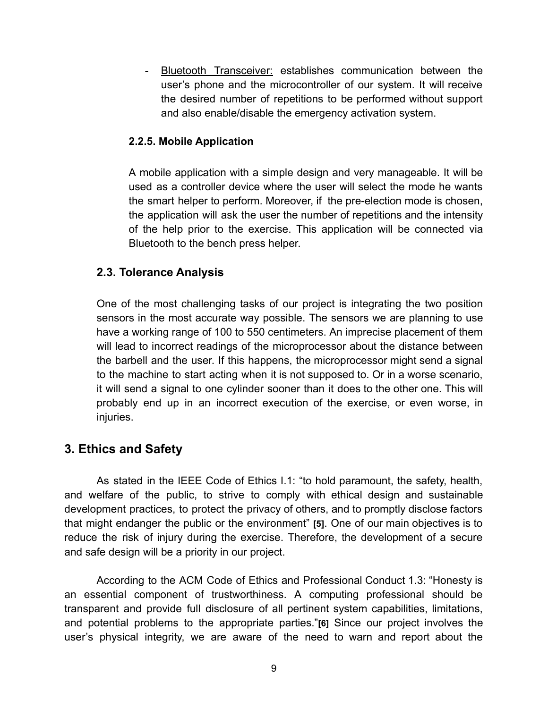Bluetooth Transceiver: establishes communication between the user's phone and the microcontroller of our system. It will receive the desired number of repetitions to be performed without support and also enable/disable the emergency activation system.

### **2.2.5. Mobile Application**

A mobile application with a simple design and very manageable. It will be used as a controller device where the user will select the mode he wants the smart helper to perform. Moreover, if the pre-election mode is chosen, the application will ask the user the number of repetitions and the intensity of the help prior to the exercise. This application will be connected via Bluetooth to the bench press helper.

## **2.3. Tolerance Analysis**

One of the most challenging tasks of our project is integrating the two position sensors in the most accurate way possible. The sensors we are planning to use have a working range of 100 to 550 centimeters. An imprecise placement of them will lead to incorrect readings of the microprocessor about the distance between the barbell and the user. If this happens, the microprocessor might send a signal to the machine to start acting when it is not supposed to. Or in a worse scenario, it will send a signal to one cylinder sooner than it does to the other one. This will probably end up in an incorrect execution of the exercise, or even worse, in injuries.

## **3. Ethics and Safety**

As stated in the IEEE Code of Ethics I.1: "to hold paramount, the safety, health, and welfare of the public, to strive to comply with ethical design and sustainable development practices, to protect the privacy of others, and to promptly disclose factors that might endanger the public or the environment" **[5]**. One of our main objectives is to reduce the risk of injury during the exercise. Therefore, the development of a secure and safe design will be a priority in our project.

According to the ACM Code of Ethics and Professional Conduct 1.3: "Honesty is an essential component of trustworthiness. A computing professional should be transparent and provide full disclosure of all pertinent system capabilities, limitations, and potential problems to the appropriate parties."**[6]** Since our project involves the user's physical integrity, we are aware of the need to warn and report about the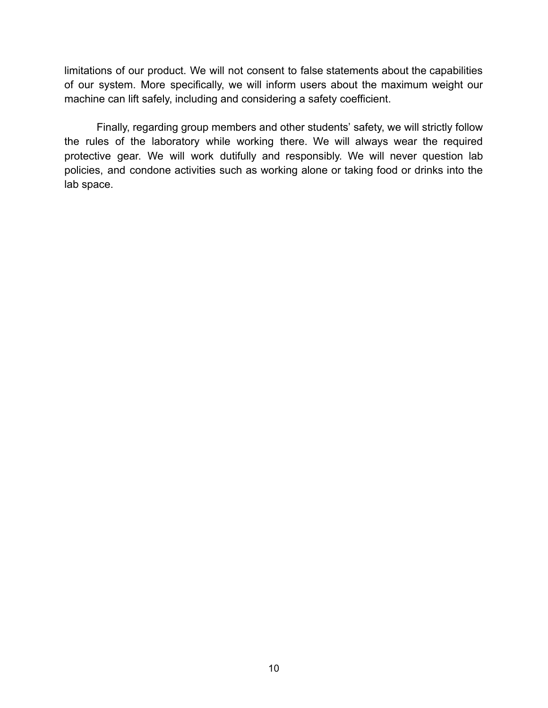limitations of our product. We will not consent to false statements about the capabilities of our system. More specifically, we will inform users about the maximum weight our machine can lift safely, including and considering a safety coefficient.

Finally, regarding group members and other students' safety, we will strictly follow the rules of the laboratory while working there. We will always wear the required protective gear. We will work dutifully and responsibly. We will never question lab policies, and condone activities such as working alone or taking food or drinks into the lab space.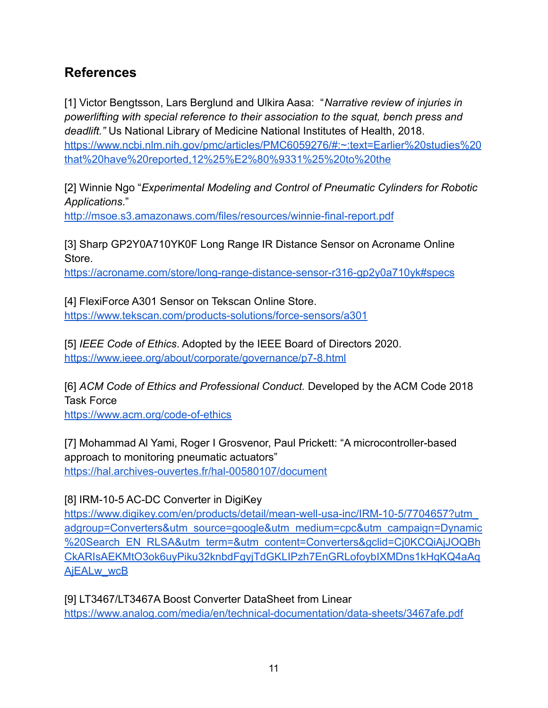# **References**

[1] Victor Bengtsson, Lars Berglund and Ulkira Aasa: "*Narrative review of injuries in powerlifting with special reference to their association to the squat, bench press and deadlift."* Us National Library of Medicine National Institutes of Health, 2018. [https://www.ncbi.nlm.nih.gov/pmc/articles/PMC6059276/#:~:text=Earlier%20studies%20](https://www.ncbi.nlm.nih.gov/pmc/articles/PMC6059276/#:~:text=Earlier%20studies%20that%20have%20reported,12%25%E2%80%9331%25%20to%20the) [that%20have%20reported,12%25%E2%80%9331%25%20to%20the](https://www.ncbi.nlm.nih.gov/pmc/articles/PMC6059276/#:~:text=Earlier%20studies%20that%20have%20reported,12%25%E2%80%9331%25%20to%20the)

[2] Winnie Ngo "*Experimental Modeling and Control of Pneumatic Cylinders for Robotic Applications*."

<http://msoe.s3.amazonaws.com/files/resources/winnie-final-report.pdf>

[3] Sharp GP2Y0A710YK0F Long Range IR Distance Sensor on Acroname Online Store.

<https://acroname.com/store/long-range-distance-sensor-r316-gp2y0a710yk#specs>

[4] FlexiForce A301 Sensor on Tekscan Online Store. <https://www.tekscan.com/products-solutions/force-sensors/a301>

[5] *IEEE Code of Ethics*. Adopted by the IEEE Board of Directors 2020. <https://www.ieee.org/about/corporate/governance/p7-8.html>

[6] *ACM Code of Ethics and Professional Conduct.* Developed by the ACM Code 2018 Task Force

<https://www.acm.org/code-of-ethics>

[7] Mohammad Al Yami, Roger I Grosvenor, Paul Prickett: "A microcontroller-based approach to monitoring pneumatic actuators" <https://hal.archives-ouvertes.fr/hal-00580107/document>

[8] IRM-10-5 AC-DC Converter in DigiKey

[https://www.digikey.com/en/products/detail/mean-well-usa-inc/IRM-10-5/7704657?utm\\_](https://www.digikey.com/en/products/detail/mean-well-usa-inc/IRM-10-5/7704657?utm_adgroup=Converters&utm_source=google&utm_medium=cpc&utm_campaign=Dynamic%20Search_EN_RLSA&utm_term=&utm_content=Converters&gclid=Cj0KCQiAjJOQBhCkARIsAEKMtO3ok6uyPiku32knbdFgyjTdGKLIPzh7EnGRLofoybIXMDns1kHqKQ4aAqAjEALw_wcB) [adgroup=Converters&utm\\_source=google&utm\\_medium=cpc&utm\\_campaign=Dynamic](https://www.digikey.com/en/products/detail/mean-well-usa-inc/IRM-10-5/7704657?utm_adgroup=Converters&utm_source=google&utm_medium=cpc&utm_campaign=Dynamic%20Search_EN_RLSA&utm_term=&utm_content=Converters&gclid=Cj0KCQiAjJOQBhCkARIsAEKMtO3ok6uyPiku32knbdFgyjTdGKLIPzh7EnGRLofoybIXMDns1kHqKQ4aAqAjEALw_wcB) [%20Search\\_EN\\_RLSA&utm\\_term=&utm\\_content=Converters&gclid=Cj0KCQiAjJOQBh](https://www.digikey.com/en/products/detail/mean-well-usa-inc/IRM-10-5/7704657?utm_adgroup=Converters&utm_source=google&utm_medium=cpc&utm_campaign=Dynamic%20Search_EN_RLSA&utm_term=&utm_content=Converters&gclid=Cj0KCQiAjJOQBhCkARIsAEKMtO3ok6uyPiku32knbdFgyjTdGKLIPzh7EnGRLofoybIXMDns1kHqKQ4aAqAjEALw_wcB) [CkARIsAEKMtO3ok6uyPiku32knbdFgyjTdGKLIPzh7EnGRLofoybIXMDns1kHqKQ4aAq](https://www.digikey.com/en/products/detail/mean-well-usa-inc/IRM-10-5/7704657?utm_adgroup=Converters&utm_source=google&utm_medium=cpc&utm_campaign=Dynamic%20Search_EN_RLSA&utm_term=&utm_content=Converters&gclid=Cj0KCQiAjJOQBhCkARIsAEKMtO3ok6uyPiku32knbdFgyjTdGKLIPzh7EnGRLofoybIXMDns1kHqKQ4aAqAjEALw_wcB) [AjEALw\\_wcB](https://www.digikey.com/en/products/detail/mean-well-usa-inc/IRM-10-5/7704657?utm_adgroup=Converters&utm_source=google&utm_medium=cpc&utm_campaign=Dynamic%20Search_EN_RLSA&utm_term=&utm_content=Converters&gclid=Cj0KCQiAjJOQBhCkARIsAEKMtO3ok6uyPiku32knbdFgyjTdGKLIPzh7EnGRLofoybIXMDns1kHqKQ4aAqAjEALw_wcB)

[9] LT3467/LT3467A Boost Converter DataSheet from Linear <https://www.analog.com/media/en/technical-documentation/data-sheets/3467afe.pdf>